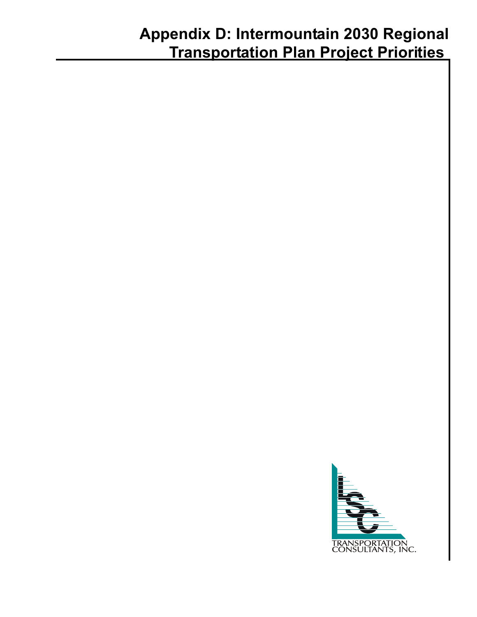# **Appendix D: Intermountain 2030 Regional Transportation Plan Project Priorities**

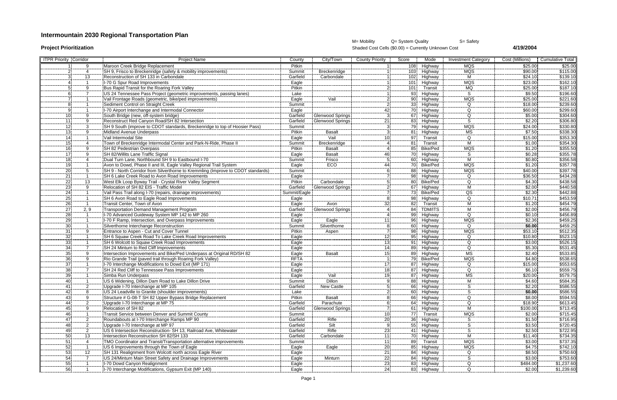## **Intermountain 2030 Regional Transportation Plan**

M= Mobility Q= System Quality S= Safety **Project Prioritization** Shaded Cost Cells (\$0.00) = Currently Unknown Cost **4/19/2004**

| <b>ITPR Priority Corridor</b> |                          | <b>Project Name</b>                                                              | County        | City/Town                                           | <b>County Priority</b>   | Score | Mode                     | <b>Investment Category</b>               | Cost (Millions)                  | <b>Cumulative Total</b>                      |
|-------------------------------|--------------------------|----------------------------------------------------------------------------------|---------------|-----------------------------------------------------|--------------------------|-------|--------------------------|------------------------------------------|----------------------------------|----------------------------------------------|
|                               | -9                       | Maroon Creek Bridge Replacement                                                  | Pitkin        |                                                     |                          |       | 108 Highway              | <b>MQS</b>                               | \$25.00                          | \$25.00                                      |
|                               |                          | SH 9, Frisco to Breckenridge (safety & mobility improvements)                    | Summit        | Breckenridge                                        |                          |       | 103 Highway              | MQS                                      | \$90.00                          | \$115.00                                     |
|                               | 13                       | Reconstruction of SH 133 in Carbondale                                           | Garfield      | Carbondale                                          |                          |       | 102 Highway              | м                                        | \$24.10                          | \$139.10                                     |
|                               |                          | I-70 G Spur Road Improvements                                                    | Eagle         |                                                     |                          |       | 101 Highway              |                                          | \$23.00                          | \$162.10                                     |
|                               |                          | Bus Rapid Transit for the Roaring Fork Valley                                    | Pitkin        |                                                     |                          | 101!  | Transit                  | MQS<br>MQ<br>S                           | \$25.00                          |                                              |
|                               |                          |                                                                                  | Lake          |                                                     |                          |       | 93 Highway               |                                          | $\frac{1}{9.50}$                 | \$187.10<br>\$196.60                         |
|                               |                          | Vail Frontage Roads (geometric, bike/ped improvements)                           | Eagle         | Vail                                                |                          |       | 90 Highway               | <b>MQS</b>                               | \$25.00                          | \$221.60                                     |
|                               |                          | Sediment Control on Straight Creek                                               | Summit        |                                                     |                          |       | 33 Highway               | Q                                        | \$18.00                          |                                              |
|                               |                          | I-70 Airport Interchange and Intermodal Connector                                | Eagle         |                                                     |                          |       | 70 Highway               | Q                                        | \$60.00                          | $\frac{$239.60}{$299.60}$                    |
|                               | <sub>.</sub> q           | South Bridge (new, off-system bridge)                                            | Garfield      |                                                     |                          |       | 67 Highway               |                                          | \$5.00                           |                                              |
|                               | ----<br>$\mathsf{Q}$     | Reconstruct Red Canyon Road/SH 82 Intersection                                   | Garfield      | <u> Glenwood Springs</u><br><b>Glenwood Springs</b> | 21                       |       | 83 Highway               | <u>_Q_</u><br>S                          | \$2.20                           | \$304.60<br>\$306.80                         |
|                               | $\overline{3}$           | SH 9 South (improve to CDOT standards, Breckenridge to top of Hoosier Pass)      | Summit        |                                                     |                          |       | 79 Highway               | $\overline{MQS}$                         | \$24.00                          | \$330.80                                     |
|                               | 9                        | Midland Avenue Underpass                                                         | Pitkin        | <b>Basalt</b>                                       |                          |       |                          | МS                                       | \$7.50                           |                                              |
| 141                           |                          | Vail Intermodal Site                                                             |               | Vail                                                | 10i                      |       | 81 Highway               | Q                                        |                                  | \$338.30                                     |
|                               |                          |                                                                                  | Eagle         |                                                     |                          |       | 97 Transit               | М                                        | \$15.00<br>\$1.00                | \$353.30                                     |
| 15.                           |                          | Town of Breckenridge Intermodal Center and Park-N-Ride, Phase I                  | Summit        | Breckenridge                                        |                          | 81.   | Transit                  |                                          | \$1.20                           |                                              |
|                               |                          | SH 82 Pedestrian Overpass                                                        | Pitkin        | Basalt                                              |                          | 85.   | Bike/Ped                 | $\frac{\overline{\text{MQS}}}{\text{S}}$ |                                  |                                              |
| 17 <sub>i</sub>               | 9                        | ISH 82/Willits Lane Traffic Signal                                               | Eagle         | <b>Basalt</b>                                       | 46                       |       | 70 Highway               |                                          | \$0.28                           | \$354.30<br>\$355.50<br>\$355.78<br>\$356.58 |
| 18.                           |                          |                                                                                  | Summit        | Frisco                                              |                          |       | 60 Highway               |                                          | $\sqrt{$0.80}$                   |                                              |
|                               |                          | Avon to Dowd, Phase II and III, Eagle Valley Regional Trail System               | Eagle         | <b>ECO</b>                                          | 44                       |       | 70 Bike/Ped              | <b>MQS</b>                               | \$1.20                           | \$357.78<br>\$397.78                         |
| 20 I                          |                          | SH 9 - North Corridor from Silverthorne to Kremmling (Improve to CDOT standards) | Summit        |                                                     |                          |       | 88 Highway               | MQS                                      | \$40.00                          |                                              |
| 211                           |                          | ISH 6 Lake Creek Road to Avon Road Improvements                                  | Eagle         |                                                     |                          |       | 98 Highway               | Q                                        | \$36.50                          | \$434.28                                     |
| 22'                           | 13                       |                                                                                  | <b>Pitkin</b> | Carbondale                                          |                          |       | 80 Bike/Ped              | $\overline{Q}$                           | $\frac{4.30}{2.00}$              | \$438.58<br>\$440.58                         |
| 23 <sup>1</sup>               | 9                        | Relocation of SH 82 EIS - Traffic Model                                          | Garfield      | <b>Glenwood Springs</b>                             |                          |       | 67 Highway               | м                                        |                                  |                                              |
| 241                           |                          | Vail Pass Trail along I-70 (repairs, drainage improvements)                      | Summit/Eagle  |                                                     |                          |       | 73 Bike/Ped              | $\overline{\Omega}$ S                    | $\overline{$}2.30$               | \$442.88                                     |
| <b>251</b>                    |                          | ISH 6 Avon Road to Eagle Road Improvements                                       | <b>Eagle</b>  |                                                     |                          |       | 98 Highway               | Q                                        | \$10.71                          | \$453.59                                     |
| 26!                           |                          | Transit Center, Town of Avon                                                     | Eagle         | Avon                                                | 32I                      | 82.   | Transit                  | М                                        | \$1.20                           | \$454.79                                     |
| 27                            | 2, 9                     | Transportation Demand Management Program                                         | Garfield      | <b>Glenwood Springs</b>                             |                          | 84.   | TDM/ITS                  | м                                        | \$2.00                           | $\frac{$456.79}{$456.89}$                    |
| 28.                           |                          | I-70 Advanced Guideway System MP 142 to MP 260                                   | Eagle         |                                                     |                          | 99.   | Highway                  | $\Omega$                                 | \$0.10                           |                                              |
| 29 i                          |                          | <b>I-70 F Ramp, Intersection, and Overpass Improvements</b>                      | Eagle         | Eagle                                               | 11                       |       | 96 Highway               | $\overline{\text{MQS}}$                  | $\frac{12}{2}$ 36                | \$459.25                                     |
| 30                            |                          | Silverthorne Interchange Reconstruction                                          | Summit        | Silverthorne                                        |                          |       | 60 Highway               | $\Omega$                                 | \$0.00                           | $\frac{$459.25}{$512.35}$                    |
|                               |                          | Entrance to Aspen - Cut and Cover Tunnel                                         | Pitkin        | Aspen                                               |                          |       | 98 Highway               | <b>MQS</b>                               | \$53.10                          |                                              |
|                               |                          | SH 6 Squaw Creek Road To Lake Creek Road Improvements                            | Eagle         |                                                     | 12                       |       | 95 Highway               | Q                                        | \$10.80                          | \$523.15                                     |
| 331                           |                          | <b>ISH 6 Wolcott to Squaw Creek Road Improvements</b>                            | Eagle         |                                                     | 13i                      |       | 91 Highway               | $\overline{Q}$                           | 33.00                            |                                              |
| 34 <sup>1</sup>               |                          | SH 24 Minturn to Red Cliff Improvements                                          | Eagle         |                                                     | 14                       |       | 89 Highway               | Q                                        | \$5.30                           | \$526.15<br>\$531.45                         |
| 35                            | 9                        | Intersection Improvements and Bike/Ped Underpass at Original RD/SH 82            | Eagle         | <b>Basalt</b>                                       | 15                       |       | 89 Highway               | $\overline{\overline{\mathsf{MS}}}$      | $\sqrt{$2.40}$                   | \$533.85                                     |
| 36.                           | 9                        | Rio Grande Trail (paved trail through Roaring Fork Valley)                       | RFTA          |                                                     |                          |       | 79 Bike/Ped              | MQS                                      | \$4.80                           |                                              |
| 37)                           |                          | 1-70 Interchange Modifications to Dowd Exit (MP 171)                             | Eagle         |                                                     | 17                       |       | 87 Highway               | Q                                        | \$15.00                          | \$538.65<br>\$553.65<br>\$559.75             |
|                               |                          | SH 24 Red Cliff to Tennessee Pass Improvements                                   | Eagle         |                                                     | 18                       |       | 87 Highway               | Ω                                        | \$6.10                           |                                              |
| 391                           |                          | Simba Run Underpass                                                              | Eagle         | Vail                                                | ا 19                     |       | 87 Highway               | <br>MS                                   | \$20.00                          | \$579.75                                     |
| 40 i                          |                          | US 6 Widening, Dillon Dam Road to Lake Dillon Drive                              | Summit        | <b>Dillon</b>                                       |                          |       | 88 Highway               | мī                                       |                                  |                                              |
| 41                            |                          | Upgrade I-70 Interchange at MP 105                                               | Garfield      | New Castle                                          |                          |       | 66 Highway               |                                          | $\frac{$4.60}{2.20}$             | $\frac{1}{\$584.35}$<br>\\$586.55            |
|                               |                          | US 24 Leadville to Granite (shoulder improvements)                               | Lake          |                                                     |                          |       | 60 Highway               |                                          | \$0.00                           | $rac{15}{5586.55}$                           |
|                               | ----                     | Structure # G-08-T SH 82 Upper Bypass Bridge Replacement                         | Pitkin        | ---------<br><b>Basalt</b>                          |                          |       | 66 Highway               |                                          | \$8.00                           | \$594.55                                     |
|                               | 2                        | Upgrade I-70 Interchange at MP 75                                                | Garfield      | Parachute                                           |                          |       | 64 Highway               | O.                                       | \$18.90                          | \$613.45                                     |
|                               | 9                        | Relocation of SH 82                                                              | Garfield      | <b>Glenwood Springs</b>                             |                          |       |                          | м                                        |                                  | \$713.45                                     |
| 45¦                           |                          | Transit Service between Denver and Summit County                                 | Summit        |                                                     | 10                       |       | 61 Highway<br>77 Transit | <b>MQS</b>                               | \$100.00<br>\$2.00               | \$715.45                                     |
| 461                           |                          |                                                                                  |               |                                                     |                          |       |                          |                                          |                                  |                                              |
|                               | $\frac{2}{\pi}$          | Roundabouts at I-70 Interchange Ramps MP 90                                      | Garfield      | Rifle                                               | <b>20</b>                |       | 36 Highway               |                                          | \$1.50<br>$\frac{3.188}{\$3.50}$ | \$716.95                                     |
|                               |                          | Upgrade I-70 Interchange at MP 97                                                | Garfield      | <u>Silt</u>                                         |                          |       | 55 Highway               |                                          |                                  | \$720.45                                     |
|                               |                          | US 6 Intersection Reconstruction- SH 13, Railroad Ave, Whitewater                | Garfield      | Rifle                                               | $\frac{23}{2}$           |       | 41 Highway               | <u>_S_</u>                               | \$2.50                           | \$722.95                                     |
| 50 l                          | 13                       | Intersection Reconstruction SH 82/SH 133                                         | Garfield      | Carbondale                                          | 111<br>$\overline{11}$   |       | 70 Highway               | м                                        | \$11.40                          | \$734.35                                     |
| 51                            | $\overline{\mathcal{A}}$ | TMO Coordinator and Transit/Transportation alternative improvements              | Summit        |                                                     |                          |       | 89 Transit               | <b>MQS</b>                               | \$3.00                           | \$737.35                                     |
|                               |                          | US 6 Improvements through the Town of Eagle                                      | Eagle         | Eagle                                               | $\frac{20}{1}$           |       | 85 Highway               | MQS                                      | \$4.75                           | \$742.10                                     |
| 53 i                          | $\frac{12}{2}$           | SH 131 Realignment from Wolcott north across Eagle River                         | Eagle         |                                                     | 21 <sub>i</sub><br>----- |       | 84 Highway               | O<br>-----                               | \$8.50                           | \$750.60                                     |
|                               |                          | US 24/Minturn Main Street Safety and Drainage Improvements                       | Eagle         | Minturn                                             | $^{22}$                  |       | 84 Highway               |                                          | 33.00                            | $$753.60$<br>\$1,237.60                      |
|                               |                          | 1-70 Dowd Canyon Realignment                                                     | Eagle         |                                                     | $^{23}$                  |       | 83 Highway               | Q<br>----                                | \$484.00                         |                                              |
| 56.                           |                          | I-70 Interchange Modifications, Gypsum Exit (MP 140)                             | Eagle         |                                                     | 24i                      |       | 83 Highway               | $\Omega$                                 | \$2.00                           | \$1,239.60                                   |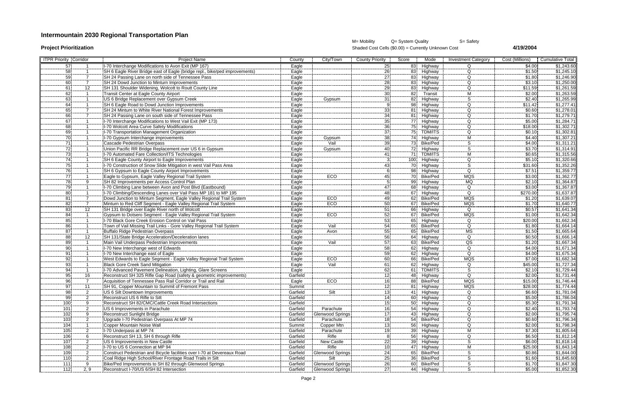## **Intermountain 2030 Regional Transportation Plan**

M= Mobility  $Q=$  System Quality  $S=$  Safety **Project Prioritization** Shaded Cost Cells (\$0.00) = Currently Unknown Cost **4/19/2004** 

| <b>ITPR Priority Corridor</b> |                |                      | <b>Project Name</b>                                                                                | County         | City/Town               | <b>County Priority</b>             | Score | Mode                            | <b>Investment Category</b> | Cost (Millions)       | <b>Cumulative Total</b>  |
|-------------------------------|----------------|----------------------|----------------------------------------------------------------------------------------------------|----------------|-------------------------|------------------------------------|-------|---------------------------------|----------------------------|-----------------------|--------------------------|
| 57 <sup>1</sup>               |                |                      | I-70 Interchange Modifications to Avon Exit (MP 167)                                               | Eagle          |                         | $\frac{25}{1}$                     | 83    | Highway                         | $\Omega$                   | \$4.00                | \$1,243.60               |
| 58 l                          |                |                      | SH 6 Eagle River Bridge east of Eagle (bridge repl., bike/ped improvements)                        | Eagle          |                         | 26                                 | 83.   | Highway                         | Q                          | \$1.50                | \$1,245.10               |
| 59.                           |                |                      | SH 24 Passing Lane on north side of Tennessee Pass                                                 | Eagle          |                         | 27                                 |       | 83 Highway                      | $\Omega$                   | \$1.80                | \$1,246.90               |
| 60i                           |                |                      | SH 24 Dowd Junction to Minturn Improvements                                                        | Eagle          |                         | 28                                 |       | 83 Highway                      | Q.                         | \$3.10                | \$1,250.00               |
| 61                            | $\frac{1}{12}$ |                      | SH 131 Shoulder Widening, Wolcott to Routt County Line                                             | Eagle          |                         | $\frac{20}{29}$                    |       | 83 Highway                      | Q                          | \$11.59               | \$1,261.59               |
| 62                            |                |                      | Transit Center at Eagle County Airport                                                             | Eagle          |                         |                                    |       | 82 Transit                      | М                          | \$2.00                | \$1,263.59               |
| 63                            |                |                      | US 6 Bridge Replacement over Gypsum Creek                                                          | Eagle          | Gypsum                  | $\frac{30}{31}$                    | 82    | Highway                         | $\overline{\mathbf{s}}$    | \$2.40                | \$1,265.99               |
| 64i                           |                |                      | <b>ISH 6 Eagle Road to Dowd Junction Improvements</b>                                              | Eagle          |                         |                                    |       | 98 Highway                      | $\overline{Q}$             | \$11.42               | \$1,277.41               |
| 65 I                          |                |                      | SH 24 Minturn to White River National Forest Improvements                                          | Eagle          |                         | 33 <sub>1</sub>                    |       | 81 Highway                      | $\Omega$                   | \$0.60                | \$1,278.01               |
| 66                            |                |                      | SH 24 Passing Lane on south side of Tennessee Pass                                                 | Eagle          |                         | 34 <sup>1</sup>                    |       | 81 Highway                      | O.                         | \$1.70                | \$1,279.71               |
| -67                           |                |                      | I-70 Interchange Modifications to West Vail Exit (MP 173)                                          | Eagle          |                         | 35 <sub>1</sub>                    |       | 77 Highway                      | ------<br>Q                | \$5.00                | \$1,284.71               |
| 68                            |                |                      | 1-70 Wolcott Area Curve Safety Modifications                                                       | Eagle          |                         |                                    | 75.   | Highway                         | Q                          | \$18.00               | \$1,302.71               |
| 691                           |                |                      | I-70 Transportation Management Organization                                                        | Eagle          |                         | $\frac{36}{37}$                    |       | 75 TDM/ITS                      | $\frac{1}{\overline{Q}}$   | \$0.10                | \$1,302.81               |
| 70 l                          |                |                      | 1-70 Gypsum Interchange improvements                                                               | Eagle          | Gypsum                  | 38                                 |       | 74 Highway                      | М                          | \$4.40                | \$1,307.21               |
| 71                            |                |                      | Cascade Pedestrian Overpass                                                                        | Eagle          | Vail                    | 39                                 |       | 73 Bike/Ped                     |                            | \$4.00                | \$1,311.21               |
| 72i                           |                |                      | Union Pacific RR Bridge Replacement over US 6 in Gypsum                                            |                | Gypsum                  | 40i                                |       | 72 Highway                      |                            | \$3.70                | \$1,314.91               |
| 731                           |                |                      | I-70 Automated Fare Collection/ITS Technologies                                                    | Eagle<br>Eagle |                         | 41                                 |       | 71 TDM/ITS                      |                            |                       | \$1,315.56               |
| 74 I                          |                |                      | ISH 6 Eagle County Airport to Eagle Improvements                                                   | Eagle          |                         | 3                                  |       | 100 Highway                     | Q                          | \$0.65<br>\$5.10      | \$1,320.66               |
| 75                            |                |                      | 1-70 Construction of Snow Slide Mitigation in west Vail Pass Area                                  | Eagle          |                         | 43                                 |       | 70 Highway                      | $\overline{\mathsf{s}}$    | \$31.60               | \$1,352.26               |
|                               |                |                      | SH 6 Gypsum to Eagle County Airport Improvements                                                   |                |                         |                                    |       | 98 Highway                      | Q                          |                       | \$1,359.77               |
| 771                           |                |                      |                                                                                                    | Eagle          | ECO <sub>1</sub>        |                                    |       | 70 Bike/Ped                     | <b>MQS</b>                 | \$7.51<br>\$3.00      |                          |
| 78                            |                |                      | Eagle to Gypsum, Eagle Valley Regional Trail System<br>ISH 82 Improvements per Access Control Plan | Eagle          |                         | 451                                |       |                                 | MQ                         | \$2.10                | \$1,362.77<br>\$1,364.87 |
| 79                            |                |                      | I-70 Climbing Lane between Avon and Post Blvd (Eastbound)                                          | Eagle          |                         | 47                                 |       | 99 Highway                      | $\overline{Q}$             | 33.00                 | \$1,367.87               |
|                               |                |                      | I-70 Climbing/Descending Lanes over Vail Pass MP 181 to MP 195                                     | Eagle          |                         | ----                               | 68    | Highway                         |                            |                       |                          |
| -80i                          |                |                      |                                                                                                    | Eagle          |                         | 48<br>49                           |       | 67 Highway                      | Q<br>MQS                   | \$270.00              | \$1,637.87               |
| 81 l                          |                |                      | Dowd Junction to Minturn Segment, Eagle Valley Regional Trail System                               | Eagle          | ECO <sub>1</sub>        | 50                                 |       | 62 Bike/Ped                     |                            | \$1.20                | \$1,639.07               |
| -82 l                         |                |                      | Minturn to Red Cliff Segment - Eagle Valley Regional Trail System                                  | <u>Eagle</u>   | ECO <sup>-</sup>        |                                    | 67.   | Bike/Ped                        | MQS                        | $\frac{$1.70}{$0.57}$ | \$1,640.77               |
| 83                            |                |                      | SH 131 Bridge over Eagle River north of Wolcott                                                    | <u>Eagle</u>   | ECO                     | 51                                 |       | 66 Highway                      | Q                          |                       | \$1,641.34               |
| -841                          |                |                      | Gypsum to Dotsero Segment - Eagle Valley Regional Trail System                                     | Eagle          |                         | 52                                 |       | 67 Bike/Ped                     | <b>MQS</b>                 | \$1.00                | \$1,642.34               |
| -85 i                         |                |                      | 1-70 Black Gore Creek Erosion Control on Vail Pass                                                 | Eagle          |                         | $\overline{53}$<br>$\overline{54}$ |       | 65 Highway                      | Q<br>$\overline{Q}$        | \$20.00               | \$1,662.34               |
| 86                            |                |                      | Town of Vail Missing Trail Links - Gore Valley Regional Trail System                               | Eagle          | Vail                    | $\frac{5}{55}$                     | 65    | Bike/Ped                        |                            | \$1.80                | \$1,664.14               |
| 87                            |                |                      | Buffalo Ridge Pedestrian Overpass                                                                  | Eagle          | Avon                    |                                    | 65.   | Bike/Ped                        | $\frac{1}{MS}$             | \$1.50                | \$1,665.64               |
| 881                           |                | <u>.12</u>           | <b>SH 131/State Bridge Acceleration/Deceleration lanes</b>                                         | <u>Eagle</u>   |                         | <b>56</b><br>$\overline{57}$       |       | 64 Highway                      | Q                          | \$0.50                | \$1,666.14               |
| 89 i                          |                |                      | Main Vail Underpass Pedestrian Improvements                                                        | Eagle          | Vail                    |                                    | 63    | Bike/Ped                        | $\frac{1}{\sqrt{2}}$       | \$1.20                | \$1,667.34               |
| 90                            |                |                      | I-70 New Interchange west of Edwards                                                               | Eagle          |                         | $\frac{58}{59}$                    |       | 62 Highway                      | Q                          | \$4.00                | \$1,671.34               |
| 91                            |                |                      | I-70 New Interchange east of Eagle                                                                 | Eagle          |                         |                                    |       | 62 Highway                      | $\Omega$                   | \$4.00                | \$1,675.34               |
| -92                           |                |                      | West Edwards to Eagle Segment - Eagle Valley Regional Trail System                                 | Eagle          | ECO <sub>1</sub>        | 60<br>$\overline{61}$              |       | 66 Bike/Ped                     | <b>MQS</b>                 | \$7.00                | \$1,682.34               |
| 931                           |                |                      | <b>Black Gore Creek Sand Mitigation</b>                                                            | <b>Eagle</b>   | Vail                    |                                    |       | 62 Highway                      | O.                         | \$45.00               | \$1,727.34               |
| 94 I                          |                |                      | I-70 Advanced Pavement Delineation, Lighting, Glare Screens                                        | Eagle          |                         | 62                                 |       | 61 TDM/ITS                      |                            | \$2.10                | \$1,729.44               |
|                               |                | 16                   | Reconstruct SH 325 Rifle Gap Road (safety & geometric improvements)                                | Garfield       |                         | <u> 12 </u>                        |       | 48 Highway                      | $\Omega$                   | \$2.00                | \$1,731.44               |
| 96 <sub>1</sub>               |                |                      | Acquisition of Tennessee Pass Rail Corridor or Trail and Rail                                      | Eagle          | ECO <sub>1</sub>        | 16i                                |       | 88 Bike/Ped                     | <b>MQS</b>                 | \$15.00               | \$1,746.44               |
| 97                            |                | 11                   | ISH 91, Copper Mountain to Summit of Fremont Pass                                                  | Summit         |                         | <u>12]</u>                         |       | 81 Highway                      | <b>MQS</b>                 | \$28.00               | \$1,774.44               |
| 98!                           |                | $\frac{2}{\cdot}$    | US 6 Silt Downtown Improvements                                                                    | Garfield       | Silt                    | 13                                 |       | 41 Highway                      | $\Omega$                   | \$6.60                | \$1,781.04               |
| 99                            |                | $-\frac{2}{3}$       | Reconstruct US 6 Rifle to Silt                                                                     | Garfield       |                         | 14!                                |       | 60 Highway                      | Q.                         | \$5.00                | \$1,786.04               |
| 100                           |                | $\frac{9}{2}$        | Reconstruct SH 82/CMC/Cattle Creek Road Intersections                                              | Garfield       |                         | 15.                                |       | 50 Highway                      | Q                          | $\frac{$5.30}{22.22}$ | \$1,791.34               |
| 101                           |                |                      | US 6 Improvements in Parachute                                                                     | Garfield       | Parachute               | 161                                |       | 54 Highway                      | Ω                          | \$2.40                | \$1,793.74               |
| 102                           |                | 9                    | <b>Reconstruct Sunlight Bridge</b>                                                                 | Garfield       | Glenwood Springs        | 17                                 |       | 43 Highway                      | $\Omega$                   | \$2.00                | \$1,795.74               |
| $\frac{1}{103}$               |                | $\overline{2}$       | Upgrade I-70 Pedestrian Overpass At MP 74                                                          | Garfield       | Parachute               | 18                                 |       | 54 Bike/Ped                     | $\Omega$                   | \$0.60                | \$1,796.34               |
| 104                           |                |                      | Copper Mountain Noise Wall                                                                         | Summit         | Copper Mtn              | 131                                |       | 56 Highway                      | Q.                         | \$2.00                | \$1,798.34               |
| 105                           | <u>.</u>       |                      | I-70 Underpass at MP 74                                                                            | Garfield       | Parachute               | 191                                |       | 39 Highway                      |                            | \$7.30                | \$1,805.64               |
| 106                           |                | 6                    | Reconstruct SH 13, SH 6 through Rifle                                                              | Garfield       | Rifle                   |                                    |       | 56 Highway                      | Q                          | \$6.50                | \$1,812.14               |
| 107                           |                | $\frac{1}{2}$        | US 6 Improvements in New Castle                                                                    | Garfield       | New Castle              | $\overline{22}$                    |       | <u>39 Highway</u><br>47 Highway |                            | \$6.00                | \$1,818.14               |
| 108                           |                | $\overline{2}$       | I-70 to US 6 Connection at MP 94                                                                   | Garfield       | Rifle                   | -10i                               |       |                                 | м                          | \$25.00               | \$1,843.14               |
| 109                           |                | $\frac{2}{\sqrt{2}}$ | Construct Pedestrian and Bicycle facilities over I-70 at Devereaux Road                            | Garfield       | Glenwood Springs        | 24                                 |       | 65 Bike/Ped                     |                            | \$0.86                | \$1,844.00               |
| 110                           |                | $^{2}$               | Coal Ridge High School/River Frontage Road Trails in Silt                                          | Garfield       | Silt                    | 25                                 |       | 36 Bike/Ped                     |                            | \$1.60                | \$1,845.60               |
| 111                           |                | 9                    | Bike/Ped Improvements to SH 82 through Glenwood Springs                                            | Garfield       | <b>Glenwood Springs</b> | $\frac{26}{1}$                     |       | 60 Bike/Ped                     |                            | \$1.70                | \$1,847.30               |
| 112 <sub>1</sub>              |                | 2, 9                 | Reconstruct I-70/US 6/SH 82 Intersection                                                           | Garfield       | Glenwood Springs        | 27 <sub>1</sub>                    |       | 44 Highway                      |                            | \$5.00                | \$1,852.30               |